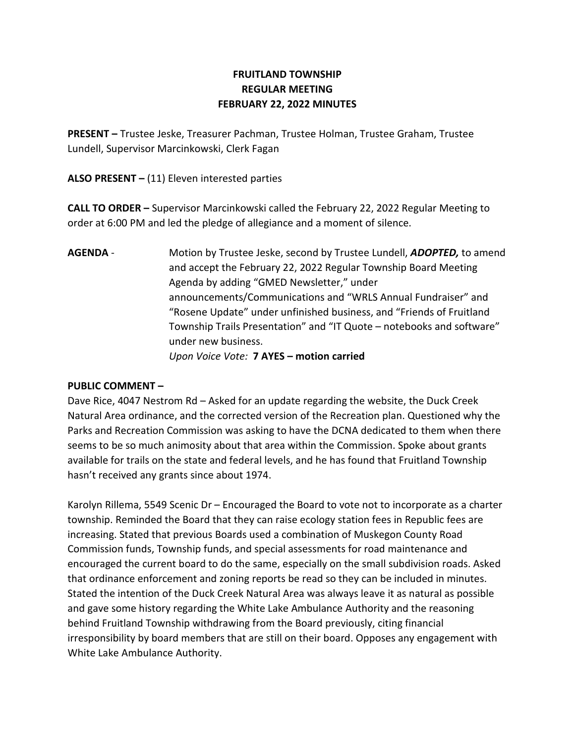## FRUITLAND TOWNSHIP REGULAR MEETING FEBRUARY 22, 2022 MINUTES

PRESENT – Trustee Jeske, Treasurer Pachman, Trustee Holman, Trustee Graham, Trustee Lundell, Supervisor Marcinkowski, Clerk Fagan

ALSO PRESENT  $-$  (11) Eleven interested parties

CALL TO ORDER – Supervisor Marcinkowski called the February 22, 2022 Regular Meeting to order at 6:00 PM and led the pledge of allegiance and a moment of silence.

AGENDA - Motion by Trustee Jeske, second by Trustee Lundell, ADOPTED, to amend and accept the February 22, 2022 Regular Township Board Meeting Agenda by adding "GMED Newsletter," under announcements/Communications and "WRLS Annual Fundraiser" and "Rosene Update" under unfinished business, and "Friends of Fruitland Township Trails Presentation" and "IT Quote – notebooks and software" under new business. Upon Voice Vote: 7 AYES – motion carried

## PUBLIC COMMENT –

Dave Rice, 4047 Nestrom Rd – Asked for an update regarding the website, the Duck Creek Natural Area ordinance, and the corrected version of the Recreation plan. Questioned why the Parks and Recreation Commission was asking to have the DCNA dedicated to them when there seems to be so much animosity about that area within the Commission. Spoke about grants available for trails on the state and federal levels, and he has found that Fruitland Township hasn't received any grants since about 1974.

Karolyn Rillema, 5549 Scenic Dr – Encouraged the Board to vote not to incorporate as a charter township. Reminded the Board that they can raise ecology station fees in Republic fees are increasing. Stated that previous Boards used a combination of Muskegon County Road Commission funds, Township funds, and special assessments for road maintenance and encouraged the current board to do the same, especially on the small subdivision roads. Asked that ordinance enforcement and zoning reports be read so they can be included in minutes. Stated the intention of the Duck Creek Natural Area was always leave it as natural as possible and gave some history regarding the White Lake Ambulance Authority and the reasoning behind Fruitland Township withdrawing from the Board previously, citing financial irresponsibility by board members that are still on their board. Opposes any engagement with White Lake Ambulance Authority.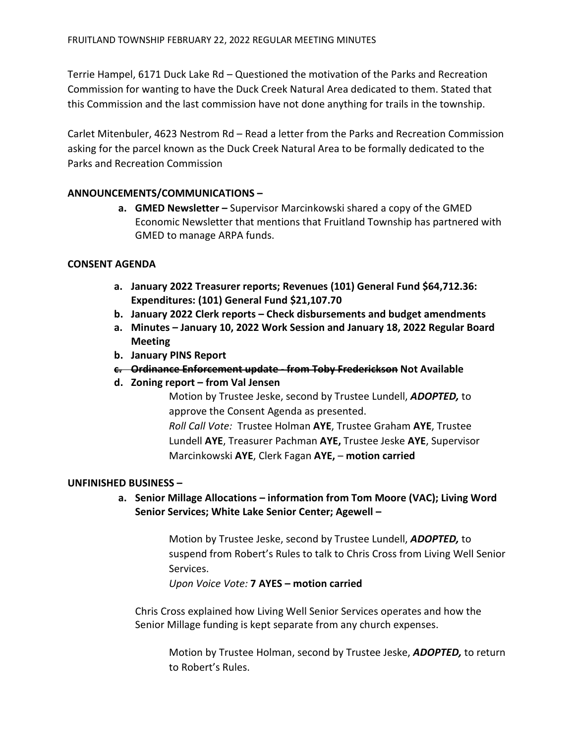Terrie Hampel, 6171 Duck Lake Rd – Questioned the motivation of the Parks and Recreation Commission for wanting to have the Duck Creek Natural Area dedicated to them. Stated that this Commission and the last commission have not done anything for trails in the township.

Carlet Mitenbuler, 4623 Nestrom Rd – Read a letter from the Parks and Recreation Commission asking for the parcel known as the Duck Creek Natural Area to be formally dedicated to the Parks and Recreation Commission

## ANNOUNCEMENTS/COMMUNICATIONS –

a. GMED Newsletter – Supervisor Marcinkowski shared a copy of the GMED Economic Newsletter that mentions that Fruitland Township has partnered with GMED to manage ARPA funds.

#### CONSENT AGENDA

- a. January 2022 Treasurer reports; Revenues (101) General Fund \$64,712.36: Expenditures: (101) General Fund \$21,107.70
- b. January 2022 Clerk reports Check disbursements and budget amendments
- a. Minutes January 10, 2022 Work Session and January 18, 2022 Regular Board Meeting
- b. January PINS Report
- c. Ordinance Enforcement update from Toby Frederickson Not Available
- d. Zoning report from Val Jensen

Motion by Trustee Jeske, second by Trustee Lundell, ADOPTED, to approve the Consent Agenda as presented.

Roll Call Vote: Trustee Holman AYE, Trustee Graham AYE, Trustee Lundell AYE, Treasurer Pachman AYE, Trustee Jeske AYE, Supervisor Marcinkowski AYE, Clerk Fagan AYE, – motion carried

#### UNFINISHED BUSINESS –

a. Senior Millage Allocations – information from Tom Moore (VAC); Living Word Senior Services; White Lake Senior Center; Agewell –

> Motion by Trustee Jeske, second by Trustee Lundell, ADOPTED, to suspend from Robert's Rules to talk to Chris Cross from Living Well Senior Services.

Upon Voice Vote: 7 AYES – motion carried

Chris Cross explained how Living Well Senior Services operates and how the Senior Millage funding is kept separate from any church expenses.

Motion by Trustee Holman, second by Trustee Jeske, ADOPTED, to return to Robert's Rules.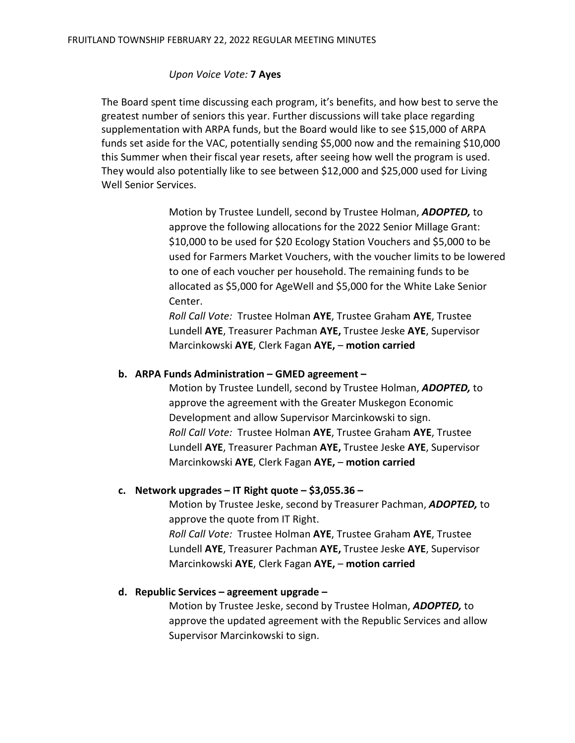### Upon Voice Vote: 7 Ayes

The Board spent time discussing each program, it's benefits, and how best to serve the greatest number of seniors this year. Further discussions will take place regarding supplementation with ARPA funds, but the Board would like to see \$15,000 of ARPA funds set aside for the VAC, potentially sending \$5,000 now and the remaining \$10,000 this Summer when their fiscal year resets, after seeing how well the program is used. They would also potentially like to see between \$12,000 and \$25,000 used for Living Well Senior Services.

> Motion by Trustee Lundell, second by Trustee Holman, ADOPTED, to approve the following allocations for the 2022 Senior Millage Grant: \$10,000 to be used for \$20 Ecology Station Vouchers and \$5,000 to be used for Farmers Market Vouchers, with the voucher limits to be lowered to one of each voucher per household. The remaining funds to be allocated as \$5,000 for AgeWell and \$5,000 for the White Lake Senior Center.

Roll Call Vote: Trustee Holman AYE, Trustee Graham AYE, Trustee Lundell AYE, Treasurer Pachman AYE, Trustee Jeske AYE, Supervisor Marcinkowski AYE, Clerk Fagan AYE, – motion carried

### b. ARPA Funds Administration – GMED agreement –

Motion by Trustee Lundell, second by Trustee Holman, ADOPTED, to approve the agreement with the Greater Muskegon Economic Development and allow Supervisor Marcinkowski to sign. Roll Call Vote: Trustee Holman AYE, Trustee Graham AYE, Trustee Lundell AYE, Treasurer Pachman AYE, Trustee Jeske AYE, Supervisor Marcinkowski AYE, Clerk Fagan AYE, – motion carried

#### c. Network upgrades – IT Right quote –  $$3,055.36$  –

Motion by Trustee Jeske, second by Treasurer Pachman, ADOPTED, to approve the quote from IT Right. Roll Call Vote: Trustee Holman AYE, Trustee Graham AYE, Trustee Lundell AYE, Treasurer Pachman AYE, Trustee Jeske AYE, Supervisor Marcinkowski AYE, Clerk Fagan AYE, – motion carried

#### d. Republic Services – agreement upgrade –

Motion by Trustee Jeske, second by Trustee Holman, ADOPTED, to approve the updated agreement with the Republic Services and allow Supervisor Marcinkowski to sign.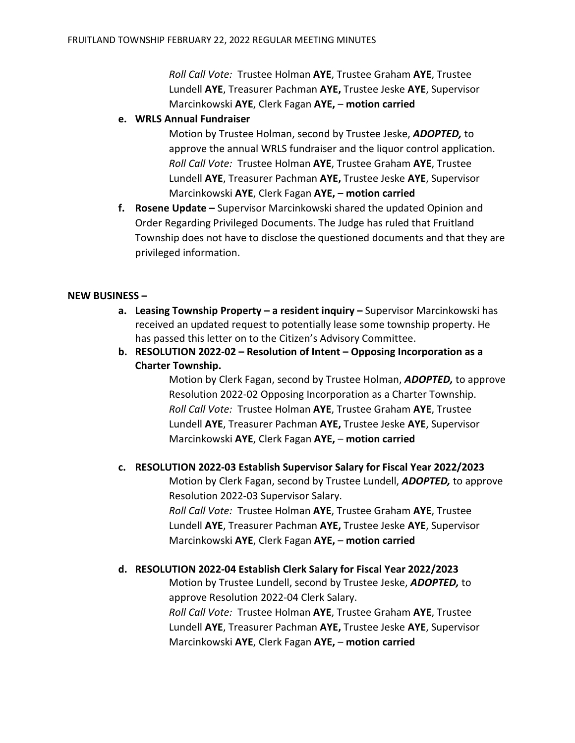Roll Call Vote: Trustee Holman AYE, Trustee Graham AYE, Trustee Lundell AYE, Treasurer Pachman AYE, Trustee Jeske AYE, Supervisor Marcinkowski AYE, Clerk Fagan AYE, – motion carried

e. WRLS Annual Fundraiser

Motion by Trustee Holman, second by Trustee Jeske, ADOPTED, to approve the annual WRLS fundraiser and the liquor control application. Roll Call Vote: Trustee Holman AYE, Trustee Graham AYE, Trustee Lundell AYE, Treasurer Pachman AYE, Trustee Jeske AYE, Supervisor Marcinkowski AYE, Clerk Fagan AYE, – motion carried

f. Rosene Update – Supervisor Marcinkowski shared the updated Opinion and Order Regarding Privileged Documents. The Judge has ruled that Fruitland Township does not have to disclose the questioned documents and that they are privileged information.

#### NEW BUSINESS –

- a. Leasing Township Property a resident inquiry Supervisor Marcinkowski has received an updated request to potentially lease some township property. He has passed this letter on to the Citizen's Advisory Committee.
- b. RESOLUTION 2022-02 Resolution of Intent Opposing Incorporation as a Charter Township.

Motion by Clerk Fagan, second by Trustee Holman, ADOPTED, to approve Resolution 2022-02 Opposing Incorporation as a Charter Township. Roll Call Vote: Trustee Holman AYE, Trustee Graham AYE, Trustee Lundell AYE, Treasurer Pachman AYE, Trustee Jeske AYE, Supervisor Marcinkowski AYE, Clerk Fagan AYE, – motion carried

#### c. RESOLUTION 2022-03 Establish Supervisor Salary for Fiscal Year 2022/2023

Motion by Clerk Fagan, second by Trustee Lundell, ADOPTED, to approve Resolution 2022-03 Supervisor Salary. Roll Call Vote: Trustee Holman AYE, Trustee Graham AYE, Trustee Lundell AYE, Treasurer Pachman AYE, Trustee Jeske AYE, Supervisor Marcinkowski AYE, Clerk Fagan AYE, – motion carried

#### d. RESOLUTION 2022-04 Establish Clerk Salary for Fiscal Year 2022/2023

Motion by Trustee Lundell, second by Trustee Jeske, ADOPTED, to approve Resolution 2022-04 Clerk Salary. Roll Call Vote: Trustee Holman AYE, Trustee Graham AYE, Trustee Lundell AYE, Treasurer Pachman AYE, Trustee Jeske AYE, Supervisor Marcinkowski AYE, Clerk Fagan AYE, – motion carried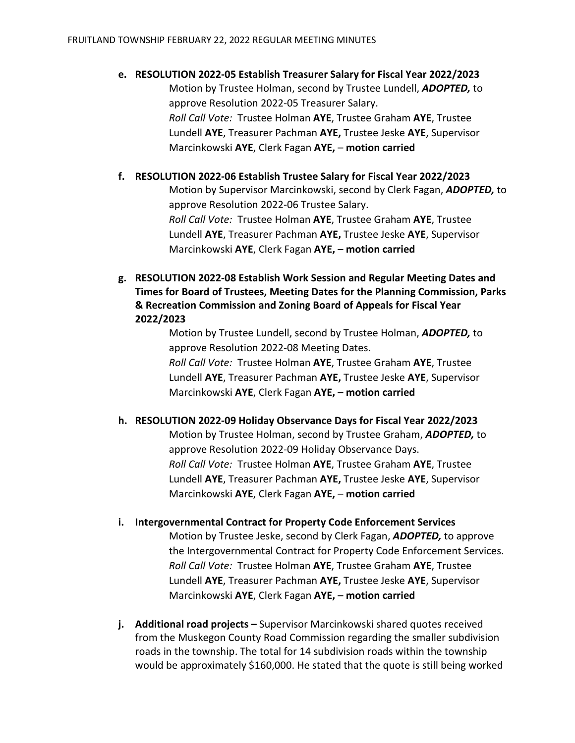# e. RESOLUTION 2022-05 Establish Treasurer Salary for Fiscal Year 2022/2023 Motion by Trustee Holman, second by Trustee Lundell, ADOPTED, to approve Resolution 2022-05 Treasurer Salary. Roll Call Vote: Trustee Holman AYE, Trustee Graham AYE, Trustee Lundell AYE, Treasurer Pachman AYE, Trustee Jeske AYE, Supervisor Marcinkowski AYE, Clerk Fagan AYE, – motion carried

- f. RESOLUTION 2022-06 Establish Trustee Salary for Fiscal Year 2022/2023 Motion by Supervisor Marcinkowski, second by Clerk Fagan, ADOPTED, to approve Resolution 2022-06 Trustee Salary. Roll Call Vote: Trustee Holman AYE, Trustee Graham AYE, Trustee Lundell AYE, Treasurer Pachman AYE, Trustee Jeske AYE, Supervisor Marcinkowski AYE, Clerk Fagan AYE, – motion carried
- g. RESOLUTION 2022-08 Establish Work Session and Regular Meeting Dates and Times for Board of Trustees, Meeting Dates for the Planning Commission, Parks & Recreation Commission and Zoning Board of Appeals for Fiscal Year 2022/2023

Motion by Trustee Lundell, second by Trustee Holman, ADOPTED, to approve Resolution 2022-08 Meeting Dates. Roll Call Vote: Trustee Holman AYE, Trustee Graham AYE, Trustee Lundell AYE, Treasurer Pachman AYE, Trustee Jeske AYE, Supervisor Marcinkowski AYE, Clerk Fagan AYE, – motion carried

## h. RESOLUTION 2022-09 Holiday Observance Days for Fiscal Year 2022/2023

Motion by Trustee Holman, second by Trustee Graham, ADOPTED, to approve Resolution 2022-09 Holiday Observance Days. Roll Call Vote: Trustee Holman AYE, Trustee Graham AYE, Trustee Lundell AYE, Treasurer Pachman AYE, Trustee Jeske AYE, Supervisor Marcinkowski AYE, Clerk Fagan AYE, – motion carried

- i. Intergovernmental Contract for Property Code Enforcement Services Motion by Trustee Jeske, second by Clerk Fagan, ADOPTED, to approve the Intergovernmental Contract for Property Code Enforcement Services. Roll Call Vote: Trustee Holman AYE, Trustee Graham AYE, Trustee Lundell AYE, Treasurer Pachman AYE, Trustee Jeske AYE, Supervisor Marcinkowski AYE, Clerk Fagan AYE, – motion carried
- j. Additional road projects Supervisor Marcinkowski shared quotes received from the Muskegon County Road Commission regarding the smaller subdivision roads in the township. The total for 14 subdivision roads within the township would be approximately \$160,000. He stated that the quote is still being worked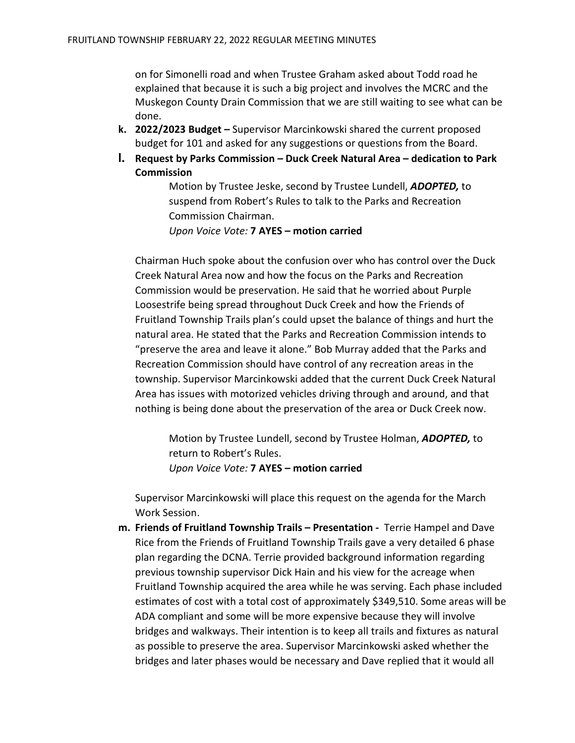on for Simonelli road and when Trustee Graham asked about Todd road he explained that because it is such a big project and involves the MCRC and the Muskegon County Drain Commission that we are still waiting to see what can be done.

- k. 2022/2023 Budget Supervisor Marcinkowski shared the current proposed budget for 101 and asked for any suggestions or questions from the Board.
- l. Request by Parks Commission Duck Creek Natural Area dedication to Park **Commission**

Motion by Trustee Jeske, second by Trustee Lundell, ADOPTED, to suspend from Robert's Rules to talk to the Parks and Recreation Commission Chairman.

Upon Voice Vote: 7 AYES – motion carried

 Chairman Huch spoke about the confusion over who has control over the Duck Creek Natural Area now and how the focus on the Parks and Recreation Commission would be preservation. He said that he worried about Purple Loosestrife being spread throughout Duck Creek and how the Friends of Fruitland Township Trails plan's could upset the balance of things and hurt the natural area. He stated that the Parks and Recreation Commission intends to "preserve the area and leave it alone." Bob Murray added that the Parks and Recreation Commission should have control of any recreation areas in the township. Supervisor Marcinkowski added that the current Duck Creek Natural Area has issues with motorized vehicles driving through and around, and that nothing is being done about the preservation of the area or Duck Creek now.

Motion by Trustee Lundell, second by Trustee Holman, ADOPTED, to return to Robert's Rules. Upon Voice Vote: 7 AYES – motion carried

Supervisor Marcinkowski will place this request on the agenda for the March Work Session.

m. Friends of Fruitland Township Trails – Presentation - Terrie Hampel and Dave Rice from the Friends of Fruitland Township Trails gave a very detailed 6 phase plan regarding the DCNA. Terrie provided background information regarding previous township supervisor Dick Hain and his view for the acreage when Fruitland Township acquired the area while he was serving. Each phase included estimates of cost with a total cost of approximately \$349,510. Some areas will be ADA compliant and some will be more expensive because they will involve bridges and walkways. Their intention is to keep all trails and fixtures as natural as possible to preserve the area. Supervisor Marcinkowski asked whether the bridges and later phases would be necessary and Dave replied that it would all